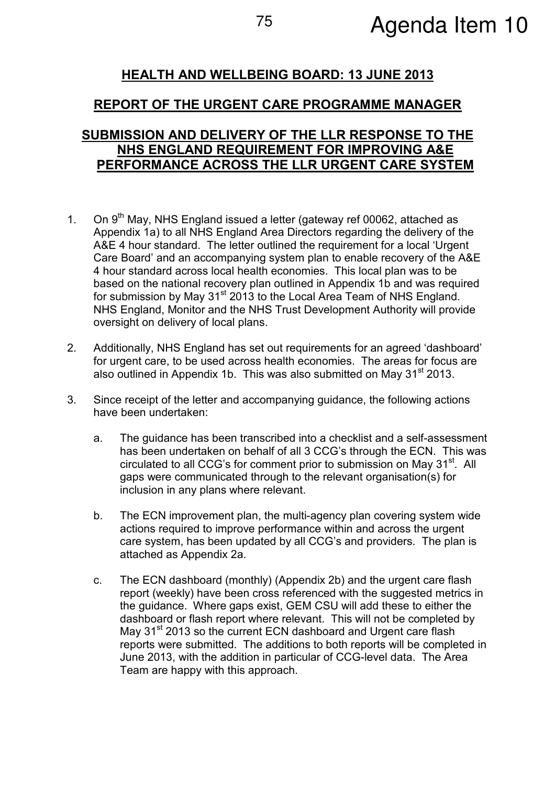# HEALTH AND WELLBEING BOARD: 13 JUNE 2013

## REPORT OF THE URGENT CARE PROGRAMME MANAGER

### SUBMISSION AND DELIVERY OF THE LLR RESPONSE TO THE NHS ENGLAND REQUIREMENT FOR IMPROVING A&E PERFORMANCE ACROSS THE LLR URGENT CARE SYSTEM

- 1. On  $9<sup>th</sup>$  May, NHS England issued a letter (gateway ref 00062, attached as Appendix 1a) to all NHS England Area Directors regarding the delivery of the A&E 4 hour standard. The letter outlined the requirement for a local 'Urgent Care Board' and an accompanying system plan to enable recovery of the A&E 4 hour standard across local health economies. This local plan was to be based on the national recovery plan outlined in Appendix 1b and was required for submission by May 31<sup>st</sup> 2013 to the Local Area Team of NHS England. NHS England, Monitor and the NHS Trust Development Authority will provide oversight on delivery of local plans.
- 2. Additionally, NHS England has set out requirements for an agreed 'dashboard' for urgent care, to be used across health economies. The areas for focus are also outlined in Appendix 1b. This was also submitted on May  $31<sup>st</sup>$  2013.
- 3. Since receipt of the letter and accompanying guidance, the following actions have been undertaken:
	- a. The guidance has been transcribed into a checklist and a self-assessment has been undertaken on behalf of all 3 CCG's through the ECN. This was circulated to all CCG's for comment prior to submission on May 31<sup>st</sup>. All gaps were communicated through to the relevant organisation(s) for inclusion in any plans where relevant.
	- b. The ECN improvement plan, the multi-agency plan covering system wide actions required to improve performance within and across the urgent care system, has been updated by all CCG's and providers. The plan is attached as Appendix 2a.
	- c. The ECN dashboard (monthly) (Appendix 2b) and the urgent care flash report (weekly) have been cross referenced with the suggested metrics in the guidance. Where gaps exist, GEM CSU will add these to either the dashboard or flash report where relevant. This will not be completed by May 31<sup>st</sup> 2013 so the current ECN dashboard and Urgent care flash reports were submitted. The additions to both reports will be completed in June 2013, with the addition in particular of CCG-level data. The Area Team are happy with this approach.